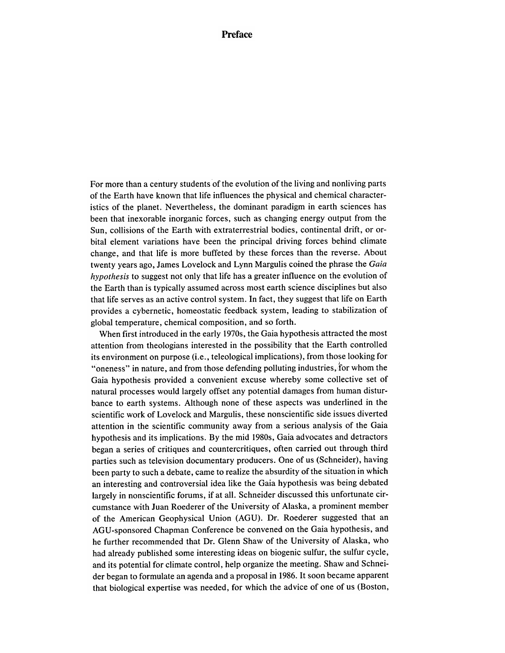## Preface

For more than a century students of the evolution of the living and nonliving parts of the Earth have known that life influences the physical and chemical characteristics of the planet. Nevertheless, the dominant paradigm in earth sciences has been that inexorable inorganic forces, such as changing energy output from the Sun, collisions of the Earth with extraterrestrial bodies, continental drift, or orbital element variations have been the principal driving forces behind climate change, and that life is more buffeted by these forces than the reverse. About twenty years ago, James Lovelock and Lynn Margulis coined the phrase the Gaia hypothesis to suggest not only that life has a greater influence on the evolution of the Earth than is typically assumed across most earth science disciplines but also that life serves as an active control system. In fact, they suggest that life on Earth provides a cybernetic, homeostatic feedback system, leading to stabilization of global temperature, chemical composition, and so forth.

When first introduced in the early 1970s, the Gaia hypothesis attracted the most attention from theologians interested in the possibility that the Earth control led its environment on purpose (i.e., teleological implications), from those looking for " oneness" in nature, and from those defending polluting industries, for whom the Gala hypothesis provided a convenient excuse whereby some collective set of natural processes would largely offset any potential damages from human disturbance to earth systems. Although none of these aspects was underlined in the scientific work of Lovelock and Margulis , these nonscientific side issues diverted attention in the scientific community away from a serious analysis of the Gala hypothesis and its implications. By the mid 1980s, Gaia advocates and detractors began a series of critiques and countercritiques , often carried out through third parties such as television documentary producers. One of us (Schneider), having been party to such a debate , came to realize the absurdity of the situation in which an interesting and controversial idea like the Gala hypothesis was being debated largely in nonscientific forums, if at all. Schneider discussed this unfortunate circumstance with Juan Roederer of the University of Alaska, a prominent member of the American Geophysical Union (AGU). Dr. Roederer suggested that an AGU-sponsored Chapman Conference be convened on the Gaia hypothesis, and he further recommended that Dr. Glenn Shaw of the University of Alaska, who had already published some interesting ideas on biogenic sulfur, the sulfur cycle, and its potential for climate control , help organize the meeting . Shaw and Schnei der began to formulate an agenda and a proposal in 1986. It soon became apparent that biological expertise was needed, for which the advice of one of us (Boston,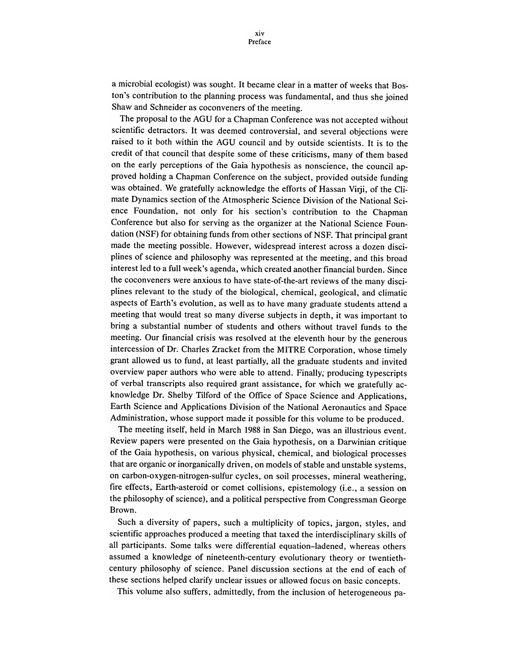a microbial ecologist) was sought. It became clear in a matter of weeks that Boston's contribution to the planning process was fundamental, and thus she joined Shaw and Schneider as coconveners of the meeting.

The proposal to the AGU for a Chapman Conference was not accepted without scientific detractors. It was deemed controversial, and several objections were raised to it both within the AGU council and by outside scientists. It is to the credit of that council that despite some of these criticisms, many of them based on the early perceptions of the Gaia hypothesis as nonscience, the council approved holding a Chapman Conference on the subject, provided outside funding was obtained. We gratefully acknowledge the efforts of Hassan Virji, of the Climate Dynamics section of the Atmospheric Science Division of the National Science Foundation, not only for his section's contribution to the Chapman Conference but also for serving as the organizer at the National Science Foundation (NSF) for obtaining funds from other sections of NSF. That principal grant made the meeting possible. However, widespread interest across a dozen disciplines of science and philosophy was represented at the meeting, and this broad interest led to a full week's agenda, which created another financial burden. Since the coconveners were anxious to have state-of-the-art reviews of the many disciplines relevant to the study of the biological, chemical, geological, and climatic aspects of Earth's evolution, as well as to have many graduate students attend a meeting that would treat so many diverse subjects in depth, it was important to bring a substantial number of students and others without travel funds to the meeting. Our financial crisis was resolved at the eleventh hour by the generous intercession of Dr. Charles Zracket from the MITRE Corporation, whose timely grant allowed us to fund, at least partially, all the graduate students and invited overview paper authors who were able to attend. Finally, producing typescripts of verbal transcripts also required grant assistance, for which we gratefully acknowledge Dr. Shelby Tilford of the Office of Space Science and Applications, Earth Science and Applications Division of the National Aeronautics and Space Administration, whose support made it possible for this volume to be produced.

The meeting itself, held in March 1988 in San Diego, was an illustrious event. Review papers were presented on the Gaia hypothesis, on a Darwinian critique of the Gaia hypothesis, on various physical, chemical, and biological processes that are organic or inorganically driven , on models of stable and unstable systems , on carbon-oxygen-nitrogen-sulfur cycles, on soil processes, mineral weathering, fire effects, Earth-asteroid or comet collisions, epistemology (i.e., a session on the philosophy of science), and a political perspective from Congressman George Brown.

Such a diversity of papers, such a multiplicity of topics, jargon, styles, and scientific approaches produced a meeting that taxed the interdisciplinary skills of all participants. Some talks were differential equation-ladened, whereas others assumed a knowledge of nineteenth-century evolutionary theory or twentiethcentury philosophy of science . Panel discussion sections at the end of each of these sections helped clarify unclear issues or allowed focus on basic concepts .

This volume also suffers, admittedly, from the inclusion of heterogeneous pa-